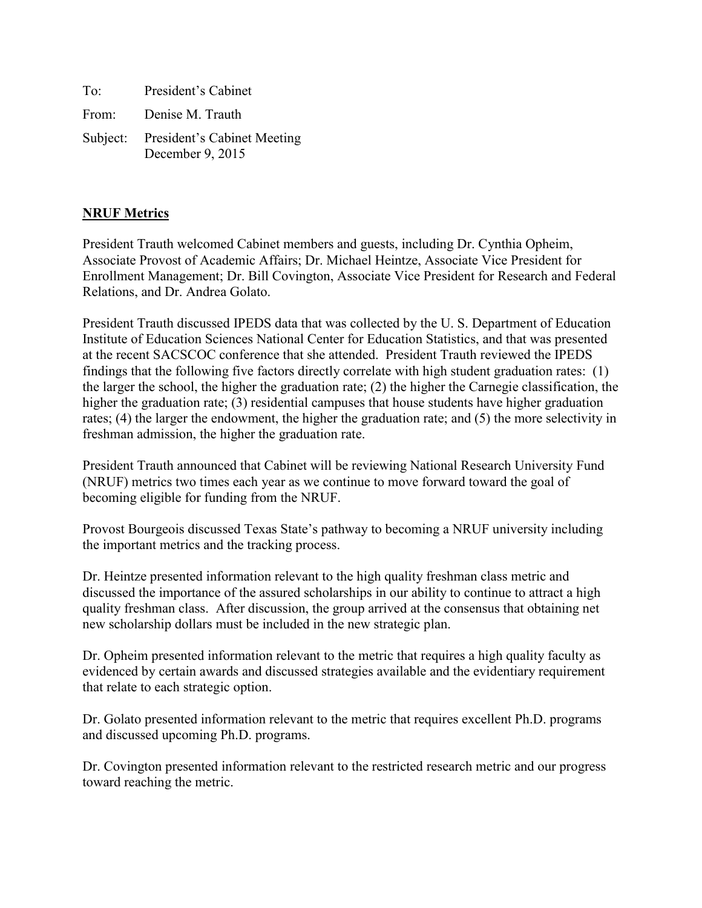| To:   | President's Cabinet                                      |
|-------|----------------------------------------------------------|
| From: | Denise M. Trauth                                         |
|       | Subject: President's Cabinet Meeting<br>December 9, 2015 |

## **NRUF Metrics**

President Trauth welcomed Cabinet members and guests, including Dr. Cynthia Opheim, Associate Provost of Academic Affairs; Dr. Michael Heintze, Associate Vice President for Enrollment Management; Dr. Bill Covington, Associate Vice President for Research and Federal Relations, and Dr. Andrea Golato.

President Trauth discussed IPEDS data that was collected by the U. S. Department of Education Institute of Education Sciences National Center for Education Statistics, and that was presented at the recent SACSCOC conference that she attended. President Trauth reviewed the IPEDS findings that the following five factors directly correlate with high student graduation rates: (1) the larger the school, the higher the graduation rate; (2) the higher the Carnegie classification, the higher the graduation rate; (3) residential campuses that house students have higher graduation rates; (4) the larger the endowment, the higher the graduation rate; and (5) the more selectivity in freshman admission, the higher the graduation rate.

President Trauth announced that Cabinet will be reviewing National Research University Fund (NRUF) metrics two times each year as we continue to move forward toward the goal of becoming eligible for funding from the NRUF.

Provost Bourgeois discussed Texas State's pathway to becoming a NRUF university including the important metrics and the tracking process.

Dr. Heintze presented information relevant to the high quality freshman class metric and discussed the importance of the assured scholarships in our ability to continue to attract a high quality freshman class. After discussion, the group arrived at the consensus that obtaining net new scholarship dollars must be included in the new strategic plan.

Dr. Opheim presented information relevant to the metric that requires a high quality faculty as evidenced by certain awards and discussed strategies available and the evidentiary requirement that relate to each strategic option.

Dr. Golato presented information relevant to the metric that requires excellent Ph.D. programs and discussed upcoming Ph.D. programs.

Dr. Covington presented information relevant to the restricted research metric and our progress toward reaching the metric.